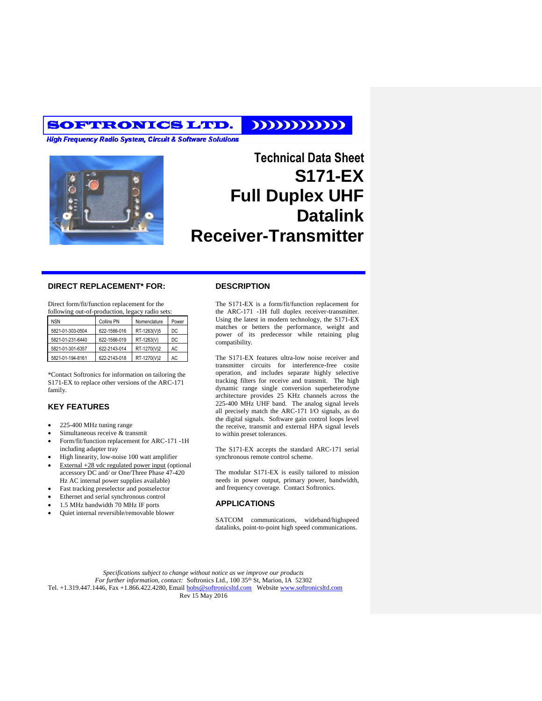## SOFTRONICS LTD.

**High Frequency Radio System, Circuit & Software Solutions** 



# **Technical Data Sheet S171-EX Full Duplex UHF Datalink Receiver-Transmitter**

111111111111

#### **DIRECT REPLACEMENT\* FOR:**

Direct form/fit/function replacement for the following out-of-production, legacy radio sets:

| <b>NSN</b>       | Collins PN   | Nomenclature | Power |
|------------------|--------------|--------------|-------|
| 5821-01-303-0504 | 622-1566-016 | RT-1263(V)5  | DC    |
| 5821-01-231-6440 | 622-1566-019 | RT-1263(V)   | DC    |
| 5821-01-301-6357 | 622-2143-014 | RT-1270(V)2  | AC    |
| 5821-01-194-8161 | 622-2143-018 | RT-1270(V)2  | AC.   |

\*Contact Softronics for information on tailoring the S171-EX to replace other versions of the ARC-171 family.

### **KEY FEATURES**

- 225-400 MHz tuning range
- Simultaneous receive & transmit
- Form/fit/function replacement for ARC-171 -1H including adapter tray
- High linearity, low-noise 100 watt amplifier
- External +28 vdc regulated power input (optional accessory DC and/ or One/Three Phase 47-420 Hz AC internal power supplies available)
- Fast tracking preselector and postselector
- Ethernet and serial synchronous control
- 1.5 MHz bandwidth 70 MHz IF ports
- Quiet internal reversible/removable blower

#### **DESCRIPTION**

The S171-EX is a form/fit/function replacement for the ARC-171 -1H full duplex receiver-transmitter. Using the latest in modern technology, the S171-EX matches or betters the performance, weight and power of its predecessor while retaining plug compatibility.

The S171-EX features ultra-low noise receiver and transmitter circuits for interference-free cosite operation, and includes separate highly selective tracking filters for receive and transmit. The high dynamic range single conversion superheterodyne architecture provides 25 KHz channels across the 225-400 MHz UHF band. The analog signal levels all precisely match the ARC-171 I/O signals, as do the digital signals. Software gain control loops level the receive, transmit and external HPA signal levels to within preset tolerances.

The S171-EX accepts the standard ARC-171 serial synchronous remote control scheme.

The modular S171-EX is easily tailored to mission needs in power output, primary power, bandwidth, and frequency coverage. Contact Softronics.

#### **APPLICATIONS**

SATCOM communications, wideband/highspeed datalinks, point-to-point high speed communications.

*Specifications subject to change without notice as we improve our products For further information, contact:* Softronics Ltd., 100 35th St, Marion, IA 52302 Tel. +1.319.447.1446, Fax +1.866.422.4280, Email [bobs@softronicsltd.com](mailto:bobs@softronicsltd.com) Website [www.softronicsltd.com](http://www.softronicsltd.com/) Rev 15 May 2016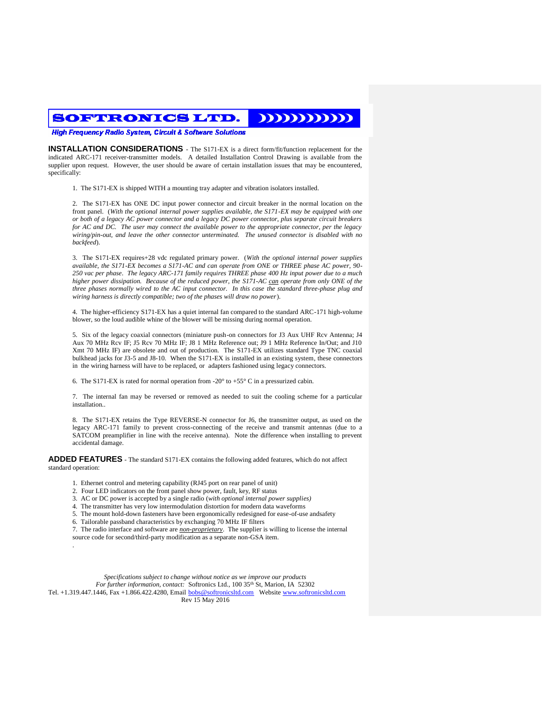$\mathbf{D}\mathbf{D}\mathbf{D}\mathbf{D}\mathbf{D}\mathbf{D}$ SOFTRONICS LTD.

**High Frequency Radio System, Circuit & Software Solutions** 

**INSTALLATION CONSIDERATIONS** - The S171-EX is a direct form/fit/function replacement for the indicated ARC-171 receiver-transmitter models. A detailed Installation Control Drawing is available from the supplier upon request. However, the user should be aware of certain installation issues that may be encountered, specifically:

1. The S171-EX is shipped WITH a mounting tray adapter and vibration isolators installed.

2. The S171-EX has ONE DC input power connector and circuit breaker in the normal location on the front panel. (*With the optional internal power supplies available, the S171-EX may be equipped with one or both of a legacy AC power connector and a legacy DC power connector, plus separate circuit breakers for AC and DC. The user may connect the available power to the appropriate connector, per the legacy wiring/pin-out, and leave the other connector unterminated. The unused connector is disabled with no backfeed*).

3. The S171-EX requires+28 vdc regulated primary power. (*With the optional internal power supplies available, the S171-EX becomes a S171-AC and can operate from ONE or THREE phase AC power, 90- 250 vac per phase. The legacy ARC-171 family requires THREE phase 400 Hz input power due to a much higher power dissipation. Because of the reduced power, the S171-AC can operate from only ONE of the three phases normally wired to the AC input connector. In this case the standard three-phase plug and wiring harness is directly compatible; two of the phases will draw no power*).

4. The higher-efficiency S171-EX has a quiet internal fan compared to the standard ARC-171 high-volume blower, so the loud audible whine of the blower will be missing during normal operation.

5. Six of the legacy coaxial connectors (miniature push-on connectors for J3 Aux UHF Rcv Antenna; J4 Aux 70 MHz Rcv IF; J5 Rcv 70 MHz IF; J8 1 MHz Reference out; J9 1 MHz Reference In/Out; and J10 Xmt 70 MHz IF) are obsolete and out of production. The S171-EX utilizes standard Type TNC coaxial bulkhead jacks for J3-5 and J8-10. When the S171-EX is installed in an existing system, these connectors in the wiring harness will have to be replaced, or adapters fashioned using legacy connectors.

6. The S171-EX is rated for normal operation from -20 $^{\circ}$  to +55 $^{\circ}$  C in a pressurized cabin.

7. The internal fan may be reversed or removed as needed to suit the cooling scheme for a particular installation..

8. The S171-EX retains the Type REVERSE-N connector for J6, the transmitter output, as used on the legacy ARC-171 family to prevent cross-connecting of the receive and transmit antennas (due to a SATCOM preamplifier in line with the receive antenna). Note the difference when installing to prevent accidental damage.

**ADDED FEATURES** - The standard S171-EX contains the following added features, which do not affect standard operation:

- 1. Ethernet control and metering capability (RJ45 port on rear panel of unit)
- 2. Four LED indicators on the front panel show power, fault, key, RF status
- 3. AC or DC power is accepted by a single radio (*with optional internal power supplies)*
- 4. The transmitter has very low intermodulation distortion for modern data waveforms
- 5. The mount hold-down fasteners have been ergonomically redesigned for ease-of-use andsafety
- 6. Tailorable passband characteristics by exchanging 70 MHz IF filters
- 7. The radio interface and software are *non-proprietary*. The supplier is willing to license the internal source code for second/third-party modification as a separate non-GSA item.
- .
- *Specifications subject to change without notice as we improve our products*

*For further information, contact:* Softronics Ltd., 100 35<sup>th</sup> St, Marion, IA 52302

Tel. +1.319.447.1446, Fax +1.866.422.4280, Email [bobs@softronicsltd.com](mailto:bobs@softronicsltd.com) Website [www.softronicsltd.com](http://www.softronicsltd.com/) Rev 15 May 2016